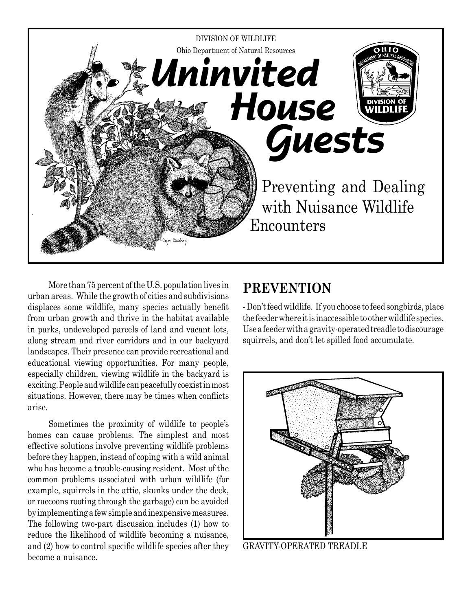

More than 75 percent of the U.S. population lives in urban areas. While the growth of cities and subdivisions displaces some wildlife, many species actually benefit from urban growth and thrive in the habitat available in parks, undeveloped parcels of land and vacant lots, along stream and river corridors and in our backyard landscapes. Their presence can provide recreational and educational viewing opportunities. For many people, especially children, viewing wildlife in the backyard is exciting. People and wildlife can peacefully coexist in most situations. However, there may be times when conflicts arise.

Sometimes the proximity of wildlife to people's homes can cause problems. The simplest and most effective solutions involve preventing wildlife problems before they happen, instead of coping with a wild animal who has become a trouble-causing resident. Most of the common problems associated with urban wildlife (for example, squirrels in the attic, skunks under the deck, or raccoons rooting through the garbage) can be avoided by implementing a few simple and inexpensive measures. The following two-part discussion includes (1) how to reduce the likelihood of wildlife becoming a nuisance, and (2) how to control specific wildlife species after they become a nuisance.

## **PREVENTION**

- Don't feed wildlife. If you choose to feed songbirds, place the feeder where it is inaccessible to other wildlife species. Use a feeder with a gravity-operated treadle to discourage squirrels, and don't let spilled food accumulate.



GRAVITY-OPERATED TREADLE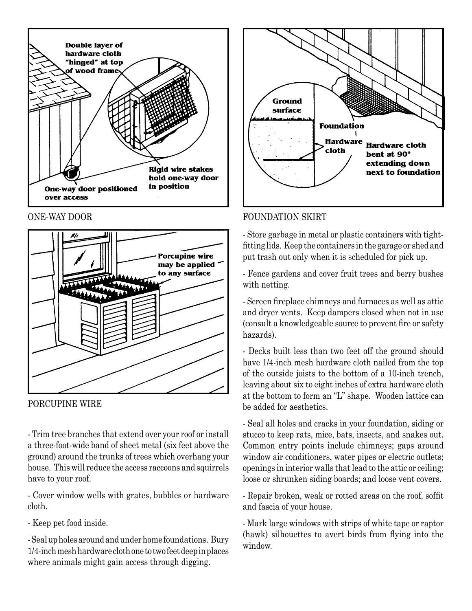



PORCUPINE WIRE

- Trim tree branches that extend over your roof or install a three-foot-wide band of sheet metal (six feet above the ground) around the trunks of trees which overhang your house. This will reduce the access raccoons and squirrels have to your roof.

- Cover window wells with grates, bubbles or hardware cloth.

- Keep pet food inside.

- Seal up holes around and under home foundations. Bury 1/4-inch mesh hardware cloth one to two feet deep in places where animals might gain access through digging.



#### ONE-WAY DOOR FOUNDATION SKIRT

- Store garbage in metal or plastic containers with tightfitting lids. Keep the containers in the garage or shed and put trash out only when it is scheduled for pick up.

- Fence gardens and cover fruit trees and berry bushes with netting.

- Screen fireplace chimneys and furnaces as well as attic and dryer vents. Keep dampers closed when not in use (consult a knowledgeable source to prevent fire or safety hazards).

- Decks built less than two feet off the ground should have 1/4-inch mesh hardware cloth nailed from the top of the outside joists to the bottom of a 10-inch trench, leaving about six to eight inches of extra hardware cloth at the bottom to form an "L" shape. Wooden lattice can be added for aesthetics.

- Seal all holes and cracks in your foundation, siding or stucco to keep rats, mice, bats, insects, and snakes out. Common entry points include chimneys; gaps around window air conditioners, water pipes or electric outlets; openings in interior walls that lead to the attic or ceiling; loose or shrunken siding boards; and loose vent covers.

- Repair broken, weak or rotted areas on the roof, soffit and fascia of your house.

- Mark large windows with strips of white tape or raptor (hawk) silhouettes to avert birds from flying into the window.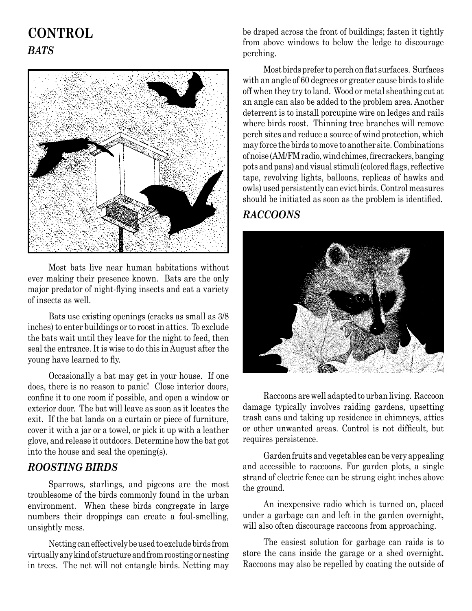# **CONTROL** *BATS*



Most bats live near human habitations without ever making their presence known. Bats are the only major predator of night-flying insects and eat a variety of insects as well.

Bats use existing openings (cracks as small as 3/8 inches) to enter buildings or to roost in attics. To exclude the bats wait until they leave for the night to feed, then seal the entrance. It is wise to do this in August after the young have learned to fly.

Occasionally a bat may get in your house. If one does, there is no reason to panic! Close interior doors, confine it to one room if possible, and open a window or exterior door. The bat will leave as soon as it locates the exit. If the bat lands on a curtain or piece of furniture, cover it with a jar or a towel, or pick it up with a leather glove, and release it outdoors. Determine how the bat got into the house and seal the opening(s).

#### *ROOSTING BIRDS*

Sparrows, starlings, and pigeons are the most troublesome of the birds commonly found in the urban environment. When these birds congregate in large numbers their droppings can create a foul-smelling, unsightly mess.

Netting can effectively be used to exclude birds from virtually any kind of structure and from roosting or nesting in trees. The net will not entangle birds. Netting may

be draped across the front of buildings; fasten it tightly from above windows to below the ledge to discourage perching.

Most birds prefer to perch on flat surfaces. Surfaces with an angle of 60 degrees or greater cause birds to slide off when they try to land. Wood or metal sheathing cut at an angle can also be added to the problem area. Another deterrent is to install porcupine wire on ledges and rails where birds roost. Thinning tree branches will remove perch sites and reduce a source of wind protection, which may force the birds to move to another site. Combinations of noise (AM/FM radio, wind chimes, firecrackers, banging pots and pans) and visual stimuli (colored flags, reflective tape, revolving lights, balloons, replicas of hawks and owls) used persistently can evict birds. Control measures should be initiated as soon as the problem is identified.

## *RACCOONS*



Raccoons are well adapted to urban living. Raccoon damage typically involves raiding gardens, upsetting trash cans and taking up residence in chimneys, attics or other unwanted areas. Control is not difficult, but requires persistence.

Garden fruits and vegetables can be very appealing and accessible to raccoons. For garden plots, a single strand of electric fence can be strung eight inches above the ground.

An inexpensive radio which is turned on, placed under a garbage can and left in the garden overnight, will also often discourage raccoons from approaching.

The easiest solution for garbage can raids is to store the cans inside the garage or a shed overnight. Raccoons may also be repelled by coating the outside of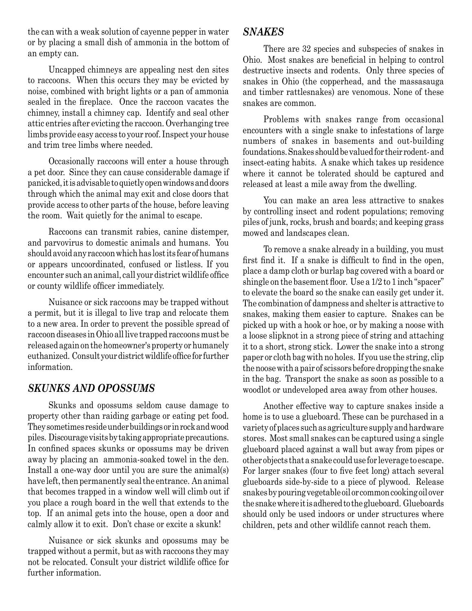the can with a weak solution of cayenne pepper in water or by placing a small dish of ammonia in the bottom of an empty can.

Uncapped chimneys are appealing nest den sites to raccoons. When this occurs they may be evicted by noise, combined with bright lights or a pan of ammonia sealed in the fireplace. Once the raccoon vacates the chimney, install a chimney cap. Identify and seal other attic entries after evicting the raccoon. Overhanging tree limbs provide easy access to your roof. Inspect your house and trim tree limbs where needed.

Occasionally raccoons will enter a house through a pet door. Since they can cause considerable damage if panicked, it is advisable to quietly open windows and doors through which the animal may exit and close doors that provide access to other parts of the house, before leaving the room. Wait quietly for the animal to escape.

Raccoons can transmit rabies, canine distemper, and parvovirus to domestic animals and humans. You should avoid any raccoon which has lost its fear of humans or appears uncoordinated, confused or listless. If you encounter such an animal, call your district wildlife office or county wildlife officer immediately.

Nuisance or sick raccoons may be trapped without a permit, but it is illegal to live trap and relocate them to a new area. In order to prevent the possible spread of raccoon diseases in Ohio all live trapped raccoons must be released again on the homeowner's property or humanely euthanized. Consult your district wildlife office for further information.

### *SKUNKS AND OPOSSUMS*

Skunks and opossums seldom cause damage to property other than raiding garbage or eating pet food. They sometimes reside under buildings or in rock and wood piles. Discourage visits by taking appropriate precautions. In confined spaces skunks or opossums may be driven away by placing an ammonia-soaked towel in the den. Install a one-way door until you are sure the animal(s) have left, then permanently seal the entrance. An animal that becomes trapped in a window well will climb out if you place a rough board in the well that extends to the top. If an animal gets into the house, open a door and calmly allow it to exit. Don't chase or excite a skunk!

Nuisance or sick skunks and opossums may be trapped without a permit, but as with raccoons they may not be relocated. Consult your district wildlife office for further information.

### *SNAKES*

There are 32 species and subspecies of snakes in Ohio. Most snakes are beneficial in helping to control destructive insects and rodents. Only three species of snakes in Ohio (the copperhead, and the massasauga and timber rattlesnakes) are venomous. None of these snakes are common.

Problems with snakes range from occasional encounters with a single snake to infestations of large numbers of snakes in basements and out-building foundations. Snakes should be valued for their rodent- and insect-eating habits. A snake which takes up residence where it cannot be tolerated should be captured and released at least a mile away from the dwelling.

You can make an area less attractive to snakes by controlling insect and rodent populations; removing piles of junk, rocks, brush and boards; and keeping grass mowed and landscapes clean.

To remove a snake already in a building, you must first find it. If a snake is difficult to find in the open, place a damp cloth or burlap bag covered with a board or shingle on the basement floor. Use a 1/2 to 1 inch "spacer" to elevate the board so the snake can easily get under it. The combination of dampness and shelter is attractive to snakes, making them easier to capture. Snakes can be picked up with a hook or hoe, or by making a noose with a loose slipknot in a strong piece of string and attaching it to a short, strong stick. Lower the snake into a strong paper or cloth bag with no holes. If you use the string, clip the noose with a pair of scissors before dropping the snake in the bag. Transport the snake as soon as possible to a woodlot or undeveloped area away from other houses.

Another effective way to capture snakes inside a home is to use a glueboard. These can be purchased in a variety of places such as agriculture supply and hardware stores. Most small snakes can be captured using a single glueboard placed against a wall but away from pipes or other objects that a snake could use for leverage to escape. For larger snakes (four to five feet long) attach several glueboards side-by-side to a piece of plywood. Release snakes by pouring vegetable oil or common cooking oil over the snake where it is adhered to the glueboard. Glueboards should only be used indoors or under structures where children, pets and other wildlife cannot reach them.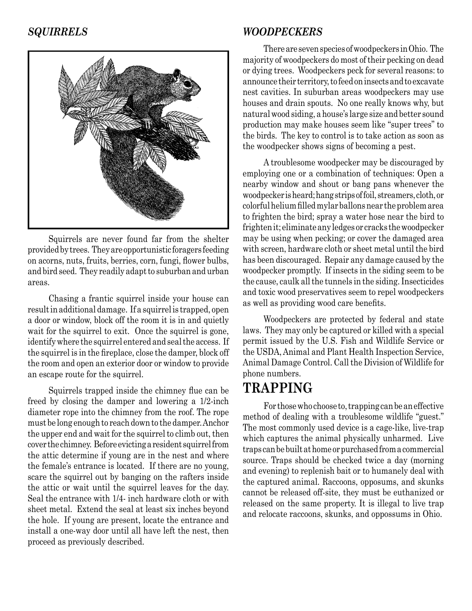

Squirrels are never found far from the shelter provided by trees. They are opportunistic foragers feeding on acorns, nuts, fruits, berries, corn, fungi, flower bulbs, and bird seed. They readily adapt to suburban and urban areas.

Chasing a frantic squirrel inside your house can result in additional damage. If a squirrel is trapped, open a door or window, block off the room it is in and quietly wait for the squirrel to exit. Once the squirrel is gone, identify where the squirrel entered and seal the access. If the squirrel is in the fireplace, close the damper, block off the room and open an exterior door or window to provide an escape route for the squirrel.

Squirrels trapped inside the chimney flue can be freed by closing the damper and lowering a 1/2-inch diameter rope into the chimney from the roof. The rope must be long enough to reach down to the damper. Anchor the upper end and wait for the squirrel to climb out, then cover the chimney. Before evicting a resident squirrel from the attic determine if young are in the nest and where the female's entrance is located. If there are no young, scare the squirrel out by banging on the rafters inside the attic or wait until the squirrel leaves for the day. Seal the entrance with 1/4- inch hardware cloth or with sheet metal. Extend the seal at least six inches beyond the hole. If young are present, locate the entrance and install a one-way door until all have left the nest, then proceed as previously described.

#### *SQUIRRELS WOODPECKERS*

There are seven species of woodpeckers in Ohio. The majority of woodpeckers do most of their pecking on dead or dying trees. Woodpeckers peck for several reasons: to announce their territory, to feed on insects and to excavate nest cavities. In suburban areas woodpeckers may use houses and drain spouts. No one really knows why, but natural wood siding, a house's large size and better sound production may make houses seem like "super trees" to the birds. The key to control is to take action as soon as the woodpecker shows signs of becoming a pest.

A troublesome woodpecker may be discouraged by employing one or a combination of techniques: Open a nearby window and shout or bang pans whenever the woodpecker is heard; hang strips of foil, streamers, cloth, or colorful helium filled mylar ballons near the problem area to frighten the bird; spray a water hose near the bird to frighten it; eliminate any ledges or cracks the woodpecker may be using when pecking; or cover the damaged area with screen, hardware cloth or sheet metal until the bird has been discouraged. Repair any damage caused by the woodpecker promptly. If insects in the siding seem to be the cause, caulk all the tunnels in the siding. Insecticides and toxic wood preservatives seem to repel woodpeckers as well as providing wood care benefits.

Woodpeckers are protected by federal and state laws. They may only be captured or killed with a special permit issued by the U.S. Fish and Wildlife Service or the USDA, Animal and Plant Health Inspection Service, Animal Damage Control. Call the Division of Wildlife for phone numbers.

## **TRAPPING**

For those who choose to, trapping can be an effective method of dealing with a troublesome wildlife "guest." The most commonly used device is a cage-like, live-trap which captures the animal physically unharmed. Live traps can be built at home or purchased from a commercial source. Traps should be checked twice a day (morning and evening) to replenish bait or to humanely deal with the captured animal. Raccoons, opposums, and skunks cannot be released off-site, they must be euthanized or released on the same property. It is illegal to live trap and relocate raccoons, skunks, and oppossums in Ohio.